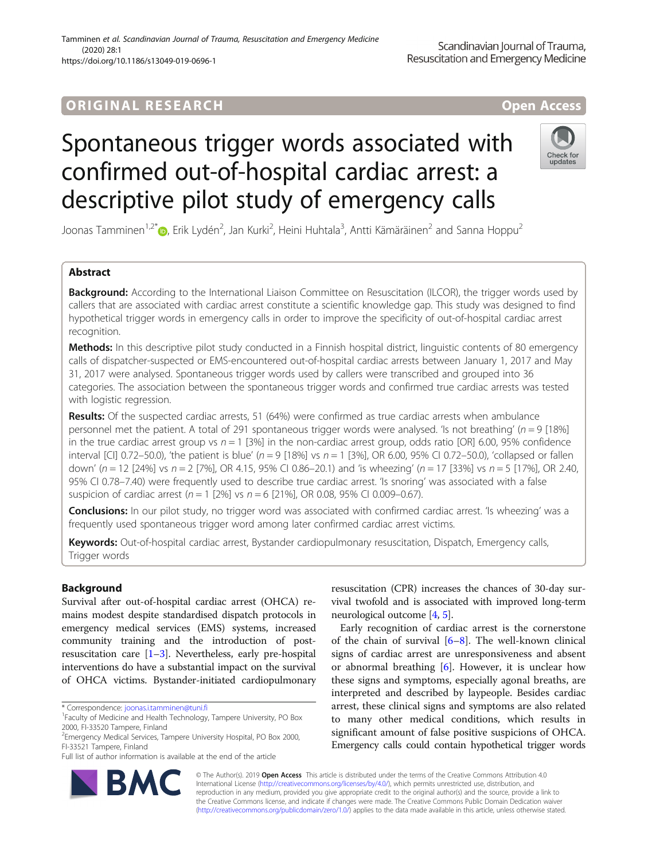## **ORIGINAL RESEARCH AND LOCAL CONSUMING A LOCAL CONSUMING A LOCAL CONSUMING A LOCAL CONSUMING A LOCAL CONSUMING**

# Spontaneous trigger words associated with confirmed out-of-hospital cardiac arrest: a descriptive pilot study of emergency calls



Joonas Tamminen<sup>1,2[\\*](http://orcid.org/0000-0003-4434-0499)</sup>®, Erik Lydén<sup>2</sup>, Jan Kurki<sup>2</sup>, Heini Huhtala<sup>3</sup>, Antti Kämäräinen<sup>2</sup> and Sanna Hoppu<sup>2</sup>

## Abstract

Background: According to the International Liaison Committee on Resuscitation (ILCOR), the trigger words used by callers that are associated with cardiac arrest constitute a scientific knowledge gap. This study was designed to find hypothetical trigger words in emergency calls in order to improve the specificity of out-of-hospital cardiac arrest recognition.

Methods: In this descriptive pilot study conducted in a Finnish hospital district, linguistic contents of 80 emergency calls of dispatcher-suspected or EMS-encountered out-of-hospital cardiac arrests between January 1, 2017 and May 31, 2017 were analysed. Spontaneous trigger words used by callers were transcribed and grouped into 36 categories. The association between the spontaneous trigger words and confirmed true cardiac arrests was tested with logistic regression.

Results: Of the suspected cardiac arrests, 51 (64%) were confirmed as true cardiac arrests when ambulance personnel met the patient. A total of 291 spontaneous trigger words were analysed. 'Is not breathing' ( $n = 9$  [18%] in the true cardiac arrest group vs  $n = 1$  [3%] in the non-cardiac arrest group, odds ratio [OR] 6.00, 95% confidence interval [CI] 0.72–50.0), 'the patient is blue'  $(n = 9$  [18%] vs  $n = 1$  [3%], OR 6.00, 95% CI 0.72–50.0), 'collapsed or fallen down'  $(n = 12 [24\%)$  vs  $n = 2 [7\%)$ , OR 4.15, 95% CI 0.86-20.1) and 'is wheezing'  $(n = 17 [33\%)$  vs  $n = 5 [17\%]$ , OR 2.40, 95% CI 0.78–7.40) were frequently used to describe true cardiac arrest. 'Is snoring' was associated with a false suspicion of cardiac arrest ( $n = 1$  [2%] vs  $n = 6$  [21%], OR 0.08, 95% CI 0.009-0.67).

Conclusions: In our pilot study, no trigger word was associated with confirmed cardiac arrest. 'Is wheezing' was a frequently used spontaneous trigger word among later confirmed cardiac arrest victims.

Keywords: Out-of-hospital cardiac arrest, Bystander cardiopulmonary resuscitation, Dispatch, Emergency calls, Trigger words

## Background

Survival after out-of-hospital cardiac arrest (OHCA) remains modest despite standardised dispatch protocols in emergency medical services (EMS) systems, increased community training and the introduction of postresuscitation care [\[1](#page-5-0)–[3\]](#page-5-0). Nevertheless, early pre-hospital interventions do have a substantial impact on the survival of OHCA victims. Bystander-initiated cardiopulmonary

\* Correspondence: [joonas.i.tamminen@tuni.fi](mailto:joonas.i.tamminen@tuni.fi) <sup>1</sup>

<sup>2</sup> Emergency Medical Services, Tampere University Hospital, PO Box 2000, FI-33521 Tampere, Finland

Full list of author information is available at the end of the article

resuscitation (CPR) increases the chances of 30-day survival twofold and is associated with improved long-term neurological outcome [\[4](#page-5-0), [5\]](#page-5-0).

Early recognition of cardiac arrest is the cornerstone of the chain of survival [[6](#page-5-0)–[8\]](#page-5-0). The well-known clinical signs of cardiac arrest are unresponsiveness and absent or abnormal breathing [[6\]](#page-5-0). However, it is unclear how these signs and symptoms, especially agonal breaths, are interpreted and described by laypeople. Besides cardiac arrest, these clinical signs and symptoms are also related to many other medical conditions, which results in significant amount of false positive suspicions of OHCA. Emergency calls could contain hypothetical trigger words



© The Author(s). 2019 Open Access This article is distributed under the terms of the Creative Commons Attribution 4.0 International License [\(http://creativecommons.org/licenses/by/4.0/](http://creativecommons.org/licenses/by/4.0/)), which permits unrestricted use, distribution, and reproduction in any medium, provided you give appropriate credit to the original author(s) and the source, provide a link to the Creative Commons license, and indicate if changes were made. The Creative Commons Public Domain Dedication waiver [\(http://creativecommons.org/publicdomain/zero/1.0/](http://creativecommons.org/publicdomain/zero/1.0/)) applies to the data made available in this article, unless otherwise stated.

Faculty of Medicine and Health Technology, Tampere University, PO Box 2000, FI-33520 Tampere, Finland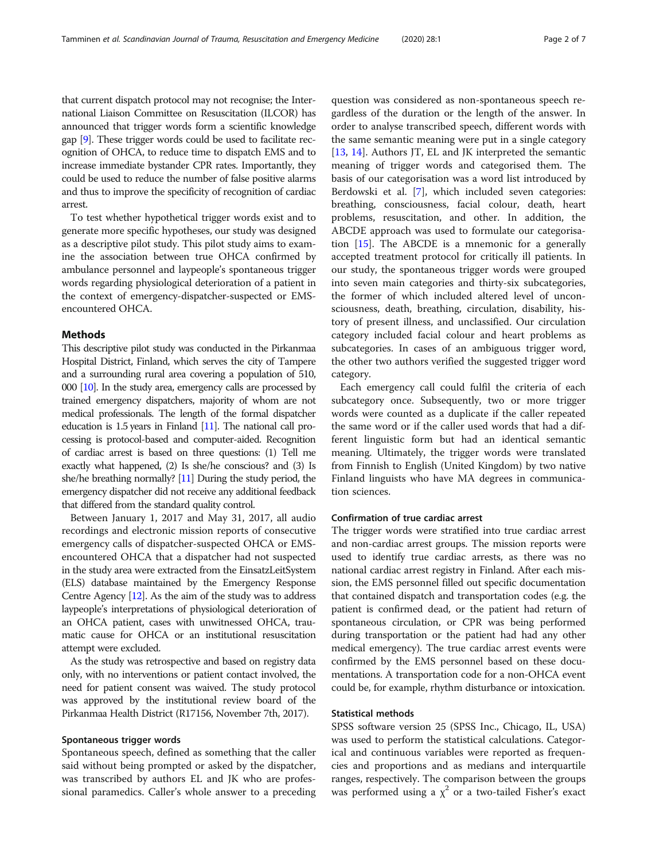that current dispatch protocol may not recognise; the International Liaison Committee on Resuscitation (ILCOR) has announced that trigger words form a scientific knowledge gap [\[9](#page-5-0)]. These trigger words could be used to facilitate recognition of OHCA, to reduce time to dispatch EMS and to increase immediate bystander CPR rates. Importantly, they could be used to reduce the number of false positive alarms and thus to improve the specificity of recognition of cardiac arrest.

To test whether hypothetical trigger words exist and to generate more specific hypotheses, our study was designed as a descriptive pilot study. This pilot study aims to examine the association between true OHCA confirmed by ambulance personnel and laypeople's spontaneous trigger words regarding physiological deterioration of a patient in the context of emergency-dispatcher-suspected or EMSencountered OHCA.

#### Methods

This descriptive pilot study was conducted in the Pirkanmaa Hospital District, Finland, which serves the city of Tampere and a surrounding rural area covering a population of 510, 000 [\[10\]](#page-5-0). In the study area, emergency calls are processed by trained emergency dispatchers, majority of whom are not medical professionals. The length of the formal dispatcher education is 1.5 years in Finland [[11\]](#page-5-0). The national call processing is protocol-based and computer-aided. Recognition of cardiac arrest is based on three questions: (1) Tell me exactly what happened, (2) Is she/he conscious? and (3) Is she/he breathing normally? [\[11\]](#page-5-0) During the study period, the emergency dispatcher did not receive any additional feedback that differed from the standard quality control.

Between January 1, 2017 and May 31, 2017, all audio recordings and electronic mission reports of consecutive emergency calls of dispatcher-suspected OHCA or EMSencountered OHCA that a dispatcher had not suspected in the study area were extracted from the EinsatzLeitSystem (ELS) database maintained by the Emergency Response Centre Agency [\[12](#page-5-0)]. As the aim of the study was to address laypeople's interpretations of physiological deterioration of an OHCA patient, cases with unwitnessed OHCA, traumatic cause for OHCA or an institutional resuscitation attempt were excluded.

As the study was retrospective and based on registry data only, with no interventions or patient contact involved, the need for patient consent was waived. The study protocol was approved by the institutional review board of the Pirkanmaa Health District (R17156, November 7th, 2017).

#### Spontaneous trigger words

Spontaneous speech, defined as something that the caller said without being prompted or asked by the dispatcher, was transcribed by authors EL and JK who are professional paramedics. Caller's whole answer to a preceding

question was considered as non-spontaneous speech regardless of the duration or the length of the answer. In order to analyse transcribed speech, different words with the same semantic meaning were put in a single category [[13,](#page-5-0) [14\]](#page-5-0). Authors JT, EL and JK interpreted the semantic meaning of trigger words and categorised them. The basis of our categorisation was a word list introduced by Berdowski et al. [[7\]](#page-5-0), which included seven categories: breathing, consciousness, facial colour, death, heart problems, resuscitation, and other. In addition, the ABCDE approach was used to formulate our categorisation  $[15]$ . The ABCDE is a mnemonic for a generally accepted treatment protocol for critically ill patients. In our study, the spontaneous trigger words were grouped into seven main categories and thirty-six subcategories, the former of which included altered level of unconsciousness, death, breathing, circulation, disability, history of present illness, and unclassified. Our circulation category included facial colour and heart problems as subcategories. In cases of an ambiguous trigger word, the other two authors verified the suggested trigger word category.

Each emergency call could fulfil the criteria of each subcategory once. Subsequently, two or more trigger words were counted as a duplicate if the caller repeated the same word or if the caller used words that had a different linguistic form but had an identical semantic meaning. Ultimately, the trigger words were translated from Finnish to English (United Kingdom) by two native Finland linguists who have MA degrees in communication sciences.

## Confirmation of true cardiac arrest

The trigger words were stratified into true cardiac arrest and non-cardiac arrest groups. The mission reports were used to identify true cardiac arrests, as there was no national cardiac arrest registry in Finland. After each mission, the EMS personnel filled out specific documentation that contained dispatch and transportation codes (e.g. the patient is confirmed dead, or the patient had return of spontaneous circulation, or CPR was being performed during transportation or the patient had had any other medical emergency). The true cardiac arrest events were confirmed by the EMS personnel based on these documentations. A transportation code for a non-OHCA event could be, for example, rhythm disturbance or intoxication.

### Statistical methods

SPSS software version 25 (SPSS Inc., Chicago, IL, USA) was used to perform the statistical calculations. Categorical and continuous variables were reported as frequencies and proportions and as medians and interquartile ranges, respectively. The comparison between the groups was performed using a  $\chi^2$  or a two-tailed Fisher's exact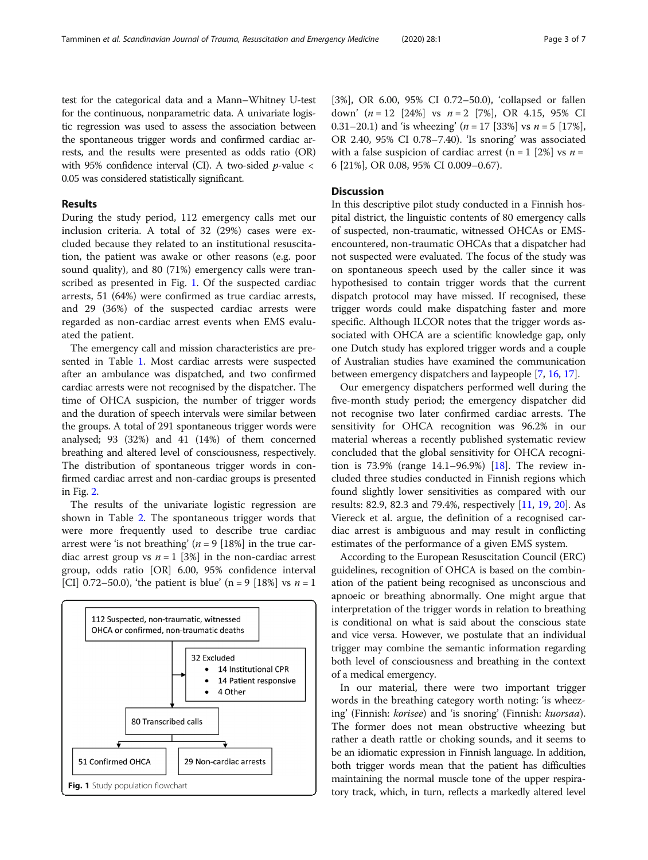test for the categorical data and a Mann–Whitney U-test for the continuous, nonparametric data. A univariate logistic regression was used to assess the association between the spontaneous trigger words and confirmed cardiac arrests, and the results were presented as odds ratio (OR) with 95% confidence interval (CI). A two-sided  $p$ -value < 0.05 was considered statistically significant.

#### Results

During the study period, 112 emergency calls met our inclusion criteria. A total of 32 (29%) cases were excluded because they related to an institutional resuscitation, the patient was awake or other reasons (e.g. poor sound quality), and 80 (71%) emergency calls were transcribed as presented in Fig. 1. Of the suspected cardiac arrests, 51 (64%) were confirmed as true cardiac arrests, and 29 (36%) of the suspected cardiac arrests were regarded as non-cardiac arrest events when EMS evaluated the patient.

The emergency call and mission characteristics are presented in Table [1.](#page-3-0) Most cardiac arrests were suspected after an ambulance was dispatched, and two confirmed cardiac arrests were not recognised by the dispatcher. The time of OHCA suspicion, the number of trigger words and the duration of speech intervals were similar between the groups. A total of 291 spontaneous trigger words were analysed; 93 (32%) and 41 (14%) of them concerned breathing and altered level of consciousness, respectively. The distribution of spontaneous trigger words in confirmed cardiac arrest and non-cardiac groups is presented in Fig. [2.](#page-3-0)

The results of the univariate logistic regression are shown in Table [2.](#page-4-0) The spontaneous trigger words that were more frequently used to describe true cardiac arrest were 'is not breathing'  $(n = 9 \mid 18\%)$  in the true cardiac arrest group vs  $n = 1$  [3%] in the non-cardiac arrest group, odds ratio [OR] 6.00, 95% confidence interval [CI] 0.72–50.0), 'the patient is blue' (n = 9 [18%] vs  $n = 1$ 



[3%], OR 6.00, 95% CI 0.72–50.0), 'collapsed or fallen down'  $(n = 12 \, [24\%]$  vs  $n = 2 \, [7\%]$ , OR 4.15, 95% CI 0.31–20.1) and 'is wheezing'  $(n = 17 \mid 33\%)$  vs  $n = 5 \mid 17\%$ , OR 2.40, 95% CI 0.78–7.40). 'Is snoring' was associated with a false suspicion of cardiac arrest (n = 1 [2%] vs  $n =$ 6 [21%], OR 0.08, 95% CI 0.009–0.67).

#### **Discussion**

In this descriptive pilot study conducted in a Finnish hospital district, the linguistic contents of 80 emergency calls of suspected, non-traumatic, witnessed OHCAs or EMSencountered, non-traumatic OHCAs that a dispatcher had not suspected were evaluated. The focus of the study was on spontaneous speech used by the caller since it was hypothesised to contain trigger words that the current dispatch protocol may have missed. If recognised, these trigger words could make dispatching faster and more specific. Although ILCOR notes that the trigger words associated with OHCA are a scientific knowledge gap, only one Dutch study has explored trigger words and a couple of Australian studies have examined the communication between emergency dispatchers and laypeople [\[7](#page-5-0), [16,](#page-5-0) [17\]](#page-5-0).

Our emergency dispatchers performed well during the five-month study period; the emergency dispatcher did not recognise two later confirmed cardiac arrests. The sensitivity for OHCA recognition was 96.2% in our material whereas a recently published systematic review concluded that the global sensitivity for OHCA recognition is 73.9% (range  $14.1-96.9%$ ) [\[18](#page-5-0)]. The review included three studies conducted in Finnish regions which found slightly lower sensitivities as compared with our results: 82.9, 82.3 and 79.4%, respectively [[11](#page-5-0), [19](#page-5-0), [20](#page-5-0)]. As Viereck et al. argue, the definition of a recognised cardiac arrest is ambiguous and may result in conflicting estimates of the performance of a given EMS system.

According to the European Resuscitation Council (ERC) guidelines, recognition of OHCA is based on the combination of the patient being recognised as unconscious and apnoeic or breathing abnormally. One might argue that interpretation of the trigger words in relation to breathing is conditional on what is said about the conscious state and vice versa. However, we postulate that an individual trigger may combine the semantic information regarding both level of consciousness and breathing in the context of a medical emergency.

In our material, there were two important trigger words in the breathing category worth noting: 'is wheezing' (Finnish: korisee) and 'is snoring' (Finnish: kuorsaa). The former does not mean obstructive wheezing but rather a death rattle or choking sounds, and it seems to be an idiomatic expression in Finnish language. In addition, both trigger words mean that the patient has difficulties maintaining the normal muscle tone of the upper respira-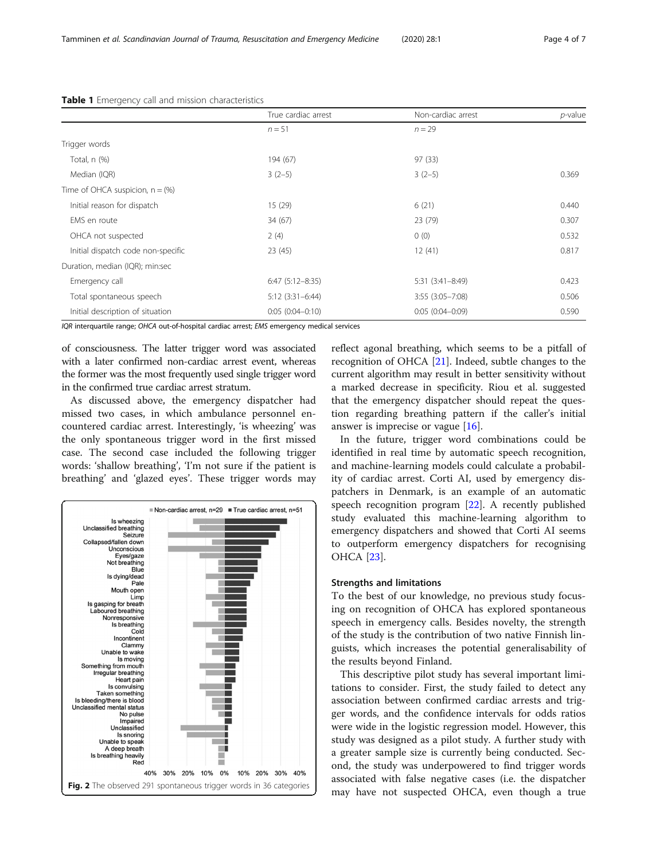|                                    | True cardiac arrest | Non-cardiac arrest  | p-value |
|------------------------------------|---------------------|---------------------|---------|
|                                    | $n = 51$            | $n = 29$            |         |
| Trigger words                      |                     |                     |         |
| Total, $n$ $(\%)$                  | 194 (67)            | 97(33)              |         |
| Median (IQR)                       | $3(2-5)$            | $3(2-5)$            | 0.369   |
| Time of OHCA suspicion, $n = (\%)$ |                     |                     |         |
| Initial reason for dispatch        | 15(29)              | 6(21)               | 0.440   |
| EMS en route                       | 34 (67)             | 23(79)              | 0.307   |
| OHCA not suspected                 | 2(4)                | 0(0)                | 0.532   |
| Initial dispatch code non-specific | 23(45)              | 12(41)              | 0.817   |
| Duration, median (IQR); min:sec    |                     |                     |         |
| Emergency call                     | $6:47(5:12-8:35)$   | $5:31(3:41-8:49)$   | 0.423   |
| Total spontaneous speech           | $5:12(3:31-6:44)$   | $3:55(3:05 - 7:08)$ | 0.506   |
| Initial description of situation   | $0:05(0:04-0:10)$   | $0:05(0:04-0:09)$   | 0.590   |

#### <span id="page-3-0"></span>Table 1 Emergency call and mission characteristics

IQR interquartile range; OHCA out-of-hospital cardiac arrest; EMS emergency medical services

of consciousness. The latter trigger word was associated with a later confirmed non-cardiac arrest event, whereas the former was the most frequently used single trigger word in the confirmed true cardiac arrest stratum.

As discussed above, the emergency dispatcher had missed two cases, in which ambulance personnel encountered cardiac arrest. Interestingly, 'is wheezing' was the only spontaneous trigger word in the first missed case. The second case included the following trigger words: 'shallow breathing', 'I'm not sure if the patient is breathing' and 'glazed eyes'. These trigger words may



reflect agonal breathing, which seems to be a pitfall of recognition of OHCA [\[21](#page-6-0)]. Indeed, subtle changes to the current algorithm may result in better sensitivity without a marked decrease in specificity. Riou et al. suggested that the emergency dispatcher should repeat the question regarding breathing pattern if the caller's initial answer is imprecise or vague [[16\]](#page-5-0).

In the future, trigger word combinations could be identified in real time by automatic speech recognition, and machine-learning models could calculate a probability of cardiac arrest. Corti AI, used by emergency dispatchers in Denmark, is an example of an automatic speech recognition program [[22\]](#page-6-0). A recently published study evaluated this machine-learning algorithm to emergency dispatchers and showed that Corti AI seems to outperform emergency dispatchers for recognising OHCA [[23\]](#page-6-0).

#### Strengths and limitations

To the best of our knowledge, no previous study focusing on recognition of OHCA has explored spontaneous speech in emergency calls. Besides novelty, the strength of the study is the contribution of two native Finnish linguists, which increases the potential generalisability of the results beyond Finland.

This descriptive pilot study has several important limitations to consider. First, the study failed to detect any association between confirmed cardiac arrests and trigger words, and the confidence intervals for odds ratios were wide in the logistic regression model. However, this study was designed as a pilot study. A further study with a greater sample size is currently being conducted. Second, the study was underpowered to find trigger words associated with false negative cases (i.e. the dispatcher may have not suspected OHCA, even though a true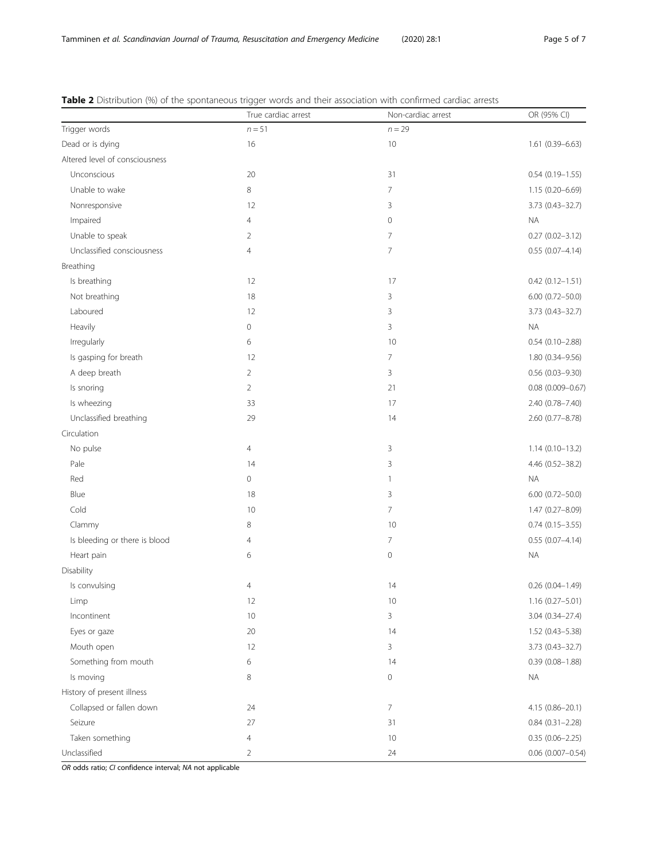|                                | ر ر<br>True cardiac arrest | Non-cardiac arrest | OR (95% CI)          |
|--------------------------------|----------------------------|--------------------|----------------------|
| Trigger words                  | $n = 51$                   | $n = 29$           |                      |
| Dead or is dying               | 16                         | 10                 | $1.61(0.39 - 6.63)$  |
| Altered level of consciousness |                            |                    |                      |
| Unconscious                    | 20                         | 31                 | $0.54(0.19 - 1.55)$  |
| Unable to wake                 | 8                          | 7                  | $1.15(0.20 - 6.69)$  |
| Nonresponsive                  | 12                         | 3                  | 3.73 (0.43-32.7)     |
| Impaired                       | $\overline{4}$             | $\mathbf 0$        | <b>NA</b>            |
| Unable to speak                | $\overline{2}$             | $\overline{7}$     | $0.27(0.02 - 3.12)$  |
| Unclassified consciousness     | $\overline{4}$             | $\overline{7}$     | $0.55(0.07 - 4.14)$  |
| Breathing                      |                            |                    |                      |
| Is breathing                   | 12                         | 17                 | $0.42(0.12 - 1.51)$  |
| Not breathing                  | 18                         | 3                  | $6.00(0.72 - 50.0)$  |
| Laboured                       | 12                         | 3                  | 3.73 (0.43-32.7)     |
| Heavily                        | $\mathsf{O}\xspace$        | 3                  | <b>NA</b>            |
| Irregularly                    | 6                          | 10                 | $0.54(0.10-2.88)$    |
| Is gasping for breath          | 12                         | 7                  | 1.80 (0.34-9.56)     |
| A deep breath                  | $\overline{2}$             | 3                  | $0.56(0.03 - 9.30)$  |
| Is snoring                     | $\overline{2}$             | 21                 | $0.08(0.009 - 0.67)$ |
| Is wheezing                    | 33                         | 17                 | 2.40 (0.78-7.40)     |
| Unclassified breathing         | 29                         | 14                 | 2.60 (0.77-8.78)     |
| Circulation                    |                            |                    |                      |
| No pulse                       | $\overline{4}$             | 3                  | $1.14(0.10-13.2)$    |
| Pale                           | 14                         | 3                  | 4.46 (0.52-38.2)     |
| Red                            | $\mathsf{O}\xspace$        | 1                  | <b>NA</b>            |
| Blue                           | 18                         | 3                  | $6.00(0.72 - 50.0)$  |
| Cold                           | 10                         | 7                  | 1.47 (0.27-8.09)     |
| Clammy                         | 8                          | 10                 | $0.74(0.15 - 3.55)$  |
| Is bleeding or there is blood  | $\overline{4}$             | $\overline{7}$     | $0.55(0.07 - 4.14)$  |
| Heart pain                     | 6                          | $\mathbf 0$        | <b>NA</b>            |
| Disability                     |                            |                    |                      |
| Is convulsing                  | $\overline{4}$             | 14                 | $0.26(0.04 - 1.49)$  |
| Limp                           | 12                         | 10                 | $1.16(0.27 - 5.01)$  |
| Incontinent                    | $10$                       | 3                  | 3.04 (0.34-27.4)     |
| Eyes or gaze                   | 20                         | 14                 | 1.52 (0.43-5.38)     |
| Mouth open                     | 12                         | $\mathbf{3}$       | 3.73 (0.43-32.7)     |
| Something from mouth           | 6                          | 14                 | $0.39(0.08 - 1.88)$  |
| Is moving                      | 8                          | $\circ$            | <b>NA</b>            |
| History of present illness     |                            |                    |                      |
| Collapsed or fallen down       | 24                         | $\overline{7}$     | 4.15 (0.86-20.1)     |
| Seizure                        | 27                         | 31                 | $0.84(0.31 - 2.28)$  |
| Taken something                | 4                          | 10                 | $0.35(0.06 - 2.25)$  |
| Unclassified                   | $\overline{2}$             | 24                 | $0.06$ (0.007-0.54)  |

## <span id="page-4-0"></span>Table 2 Distribution (%) of the spontaneous trigger words and their association with confirmed cardiac arrests

OR odds ratio; CI confidence interval; NA not applicable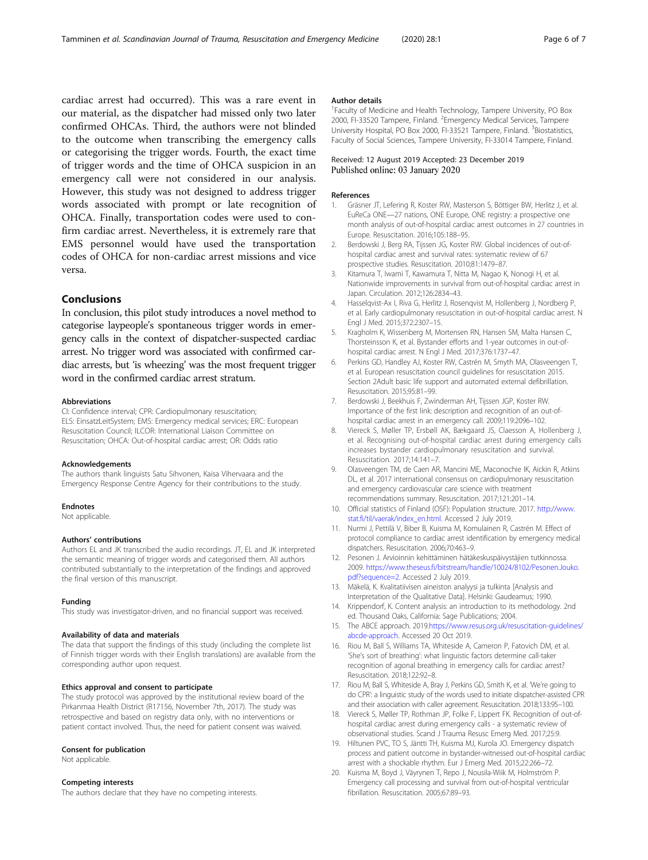<span id="page-5-0"></span>cardiac arrest had occurred). This was a rare event in our material, as the dispatcher had missed only two later confirmed OHCAs. Third, the authors were not blinded to the outcome when transcribing the emergency calls or categorising the trigger words. Fourth, the exact time of trigger words and the time of OHCA suspicion in an emergency call were not considered in our analysis. However, this study was not designed to address trigger words associated with prompt or late recognition of OHCA. Finally, transportation codes were used to confirm cardiac arrest. Nevertheless, it is extremely rare that EMS personnel would have used the transportation codes of OHCA for non-cardiac arrest missions and vice versa.

#### Conclusions

In conclusion, this pilot study introduces a novel method to categorise laypeople's spontaneous trigger words in emergency calls in the context of dispatcher-suspected cardiac arrest. No trigger word was associated with confirmed cardiac arrests, but 'is wheezing' was the most frequent trigger word in the confirmed cardiac arrest stratum.

#### Abbreviations

CI: Confidence interval; CPR: Cardiopulmonary resuscitation; ELS: EinsatzLeitSystem; EMS: Emergency medical services; ERC: European Resuscitation Council; ILCOR: International Liaison Committee on Resuscitation; OHCA: Out-of-hospital cardiac arrest; OR: Odds ratio

#### Acknowledgements

The authors thank linguists Satu Sihvonen, Kaisa Vihervaara and the Emergency Response Centre Agency for their contributions to the study.

#### Endnotes

Not applicable.

#### Authors' contributions

Authors EL and JK transcribed the audio recordings. JT, EL and JK interpreted the semantic meaning of trigger words and categorised them. All authors contributed substantially to the interpretation of the findings and approved the final version of this manuscript.

#### Funding

This study was investigator-driven, and no financial support was received.

#### Availability of data and materials

The data that support the findings of this study (including the complete list of Finnish trigger words with their English translations) are available from the corresponding author upon request.

#### Ethics approval and consent to participate

The study protocol was approved by the institutional review board of the Pirkanmaa Health District (R17156, November 7th, 2017). The study was retrospective and based on registry data only, with no interventions or patient contact involved. Thus, the need for patient consent was waived.

#### Consent for publication

Not applicable.

#### Competing interests

The authors declare that they have no competing interests.

#### Author details

<sup>1</sup> Faculty of Medicine and Health Technology, Tampere University, PO Box 2000, FI-33520 Tampere, Finland. <sup>2</sup>Emergency Medical Services, Tampere University Hospital, PO Box 2000, FI-33521 Tampere, Finland. <sup>3</sup>Biostatistics Faculty of Social Sciences, Tampere University, FI-33014 Tampere, Finland.

#### Received: 12 August 2019 Accepted: 23 December 2019 Published online: 03 January 2020

#### References

- 1. Gräsner JT, Lefering R, Koster RW, Masterson S, Böttiger BW, Herlitz J, et al. EuReCa ONE—27 nations, ONE Europe, ONE registry: a prospective one month analysis of out-of-hospital cardiac arrest outcomes in 27 countries in Europe. Resuscitation. 2016;105:188–95.
- 2. Berdowski J, Berg RA, Tijssen JG, Koster RW. Global incidences of out-ofhospital cardiac arrest and survival rates: systematic review of 67 prospective studies. Resuscitation. 2010;81:1479–87.
- 3. Kitamura T, Iwami T, Kawamura T, Nitta M, Nagao K, Nonogi H, et al. Nationwide improvements in survival from out-of-hospital cardiac arrest in Japan. Circulation. 2012;126:2834–43.
- 4. Hasselqvist-Ax I, Riva G, Herlitz J, Rosenqvist M, Hollenberg J, Nordberg P, et al. Early cardiopulmonary resuscitation in out-of-hospital cardiac arrest. N Engl J Med. 2015;372:2307–15.
- 5. Kragholm K, Wissenberg M, Mortensen RN, Hansen SM, Malta Hansen C, Thorsteinsson K, et al. Bystander efforts and 1-year outcomes in out-ofhospital cardiac arrest. N Engl J Med. 2017;376:1737–47.
- 6. Perkins GD, Handley AJ, Koster RW, Castrén M, Smyth MA, Olasveengen T, et al. European resuscitation council guidelines for resuscitation 2015. Section 2Adult basic life support and automated external defibrillation. Resuscitation. 2015;95:81–99.
- 7. Berdowski J, Beekhuis F, Zwinderman AH, Tijssen JGP, Koster RW. Importance of the first link: description and recognition of an out-ofhospital cardiac arrest in an emergency call. 2009;119:2096–102.
- 8. Viereck S, Møller TP, Ersbøll AK, Bækgaard JS, Claesson A, Hollenberg J, et al. Recognising out-of-hospital cardiac arrest during emergency calls increases bystander cardiopulmonary resuscitation and survival. Resuscitation. 2017;14:141–7.
- 9. Olasveengen TM, de Caen AR, Mancini ME, Maconochie IK, Aickin R, Atkins DL, et al. 2017 international consensus on cardiopulmonary resuscitation and emergency cardiovascular care science with treatment recommendations summary. Resuscitation. 2017;121:201–14.
- 10. Official statistics of Finland (OSF): Population structure. 2017. [http://www.](http://www.stat.fi/til/vaerak/index_en.html) [stat.fi/til/vaerak/index\\_en.html.](http://www.stat.fi/til/vaerak/index_en.html) Accessed 2 July 2019.
- 11. Nurmi J, Pettilä V, Biber B, Kuisma M, Komulainen R, Castrén M. Effect of protocol compliance to cardiac arrest identification by emergency medical dispatchers. Resuscitation. 2006;70:463–9.
- 12. Pesonen J. Arvioinnin kehittäminen hätäkeskuspäivystäjien tutkinnossa. 2009. [https://www.theseus.fi/bitstream/handle/10024/8102/Pesonen.Jouko.](https://www.theseus.fi/bitstream/handle/10024/8102/Pesonen.Jouko.pdf?sequence=2) [pdf?sequence=2.](https://www.theseus.fi/bitstream/handle/10024/8102/Pesonen.Jouko.pdf?sequence=2) Accessed 2 July 2019.
- 13. Mäkelä, K. Kvalitatiivisen aineiston analyysi ja tulkinta [Analysis and Interpretation of the Qualitative Data]. Helsinki: Gaudeamus; 1990.
- 14. Krippendorf, K. Content analysis: an introduction to its methodology. 2nd ed. Thousand Oaks, California: Sage Publications; 2004.
- 15. The ABCE approach. 2019[.https://www.resus.org.uk/resuscitation-guidelines/](https://www.resus.org.uk/resuscitation-guidelines/abcde-approach) [abcde-approach](https://www.resus.org.uk/resuscitation-guidelines/abcde-approach). Accessed 20 Oct 2019.
- 16. Riou M, Ball S, Williams TA, Whiteside A, Cameron P, Fatovich DM, et al. 'She's sort of breathing': what linguistic factors determine call-taker recognition of agonal breathing in emergency calls for cardiac arrest? Resuscitation. 2018;122:92–8.
- 17. Riou M, Ball S, Whiteside A, Bray J, Perkins GD, Smith K, et al. 'We're going to do CPR': a linguistic study of the words used to initiate dispatcher-assisted CPR and their association with caller agreement. Resuscitation. 2018;133:95–100.
- 18. Viereck S, Møller TP, Rothman JP, Folke F, Lippert FK. Recognition of out-ofhospital cardiac arrest during emergency calls - a systematic review of observational studies. Scand J Trauma Resusc Emerg Med. 2017;25:9.
- 19. Hiltunen PVC, TO S, Jäntti TH, Kuisma MJ, Kurola JO. Emergency dispatch process and patient outcome in bystander-witnessed out-of-hospital cardiac arrest with a shockable rhythm. Eur J Emerg Med. 2015;22:266–72.
- 20. Kuisma M, Boyd J, Väyrynen T, Repo J, Nousila-Wiik M, Holmström P. Emergency call processing and survival from out-of-hospital ventricular fibrillation. Resuscitation. 2005;67:89–93.